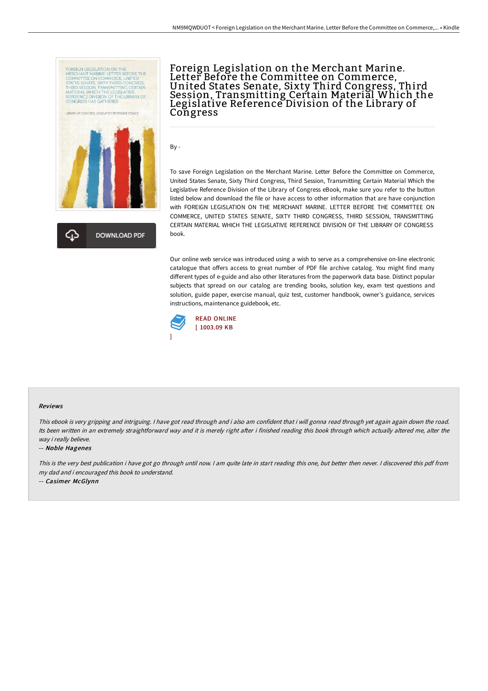



# Foreign Legislation on the Merchant Marine. Letter Before the Committee on Commerce,<br>United States Senate, Sixty Third Congress, Third Session, Transmitting Certain Material Which the Legislative Reference Division of the Library of **Congress**

By -

To save Foreign Legislation on the Merchant Marine. Letter Before the Committee on Commerce, United States Senate, Sixty Third Congress, Third Session, Transmitting Certain Material Which the Legislative Reference Division of the Library of Congress eBook, make sure you refer to the button listed below and download the file or have access to other information that are have conjunction with FOREIGN LEGISLATION ON THE MERCHANT MARINE. LETTER BEFORE THE COMMITTEE ON COMMERCE, UNITED STATES SENATE, SIXTY THIRD CONGRESS, THIRD SESSION, TRANSMITTING CERTAIN MATERIAL WHICH THE LEGISLATIVE REFERENCE DIVISION OF THE LIBRARY OF CONGRESS book.

Our online web service was introduced using a wish to serve as a comprehensive on-line electronic catalogue that offers access to great number of PDF file archive catalog. You might find many different types of e-guide and also other literatures from the paperwork data base. Distinct popular subjects that spread on our catalog are trending books, solution key, exam test questions and solution, guide paper, exercise manual, quiz test, customer handbook, owner's guidance, services instructions, maintenance guidebook, etc.



#### Reviews

This ebook is very gripping and intriguing. <sup>I</sup> have got read through and i also am confident that i will gonna read through yet again again down the road. Its been written in an extremely straightforward way and it is merely right after i finished reading this book through which actually altered me, alter the way i really believe.

#### -- Noble Hagenes

This is the very best publication i have got go through until now. I am quite late in start reading this one, but better then never. I discovered this pdf from my dad and i encouraged this book to understand.

-- Casimer McGlynn